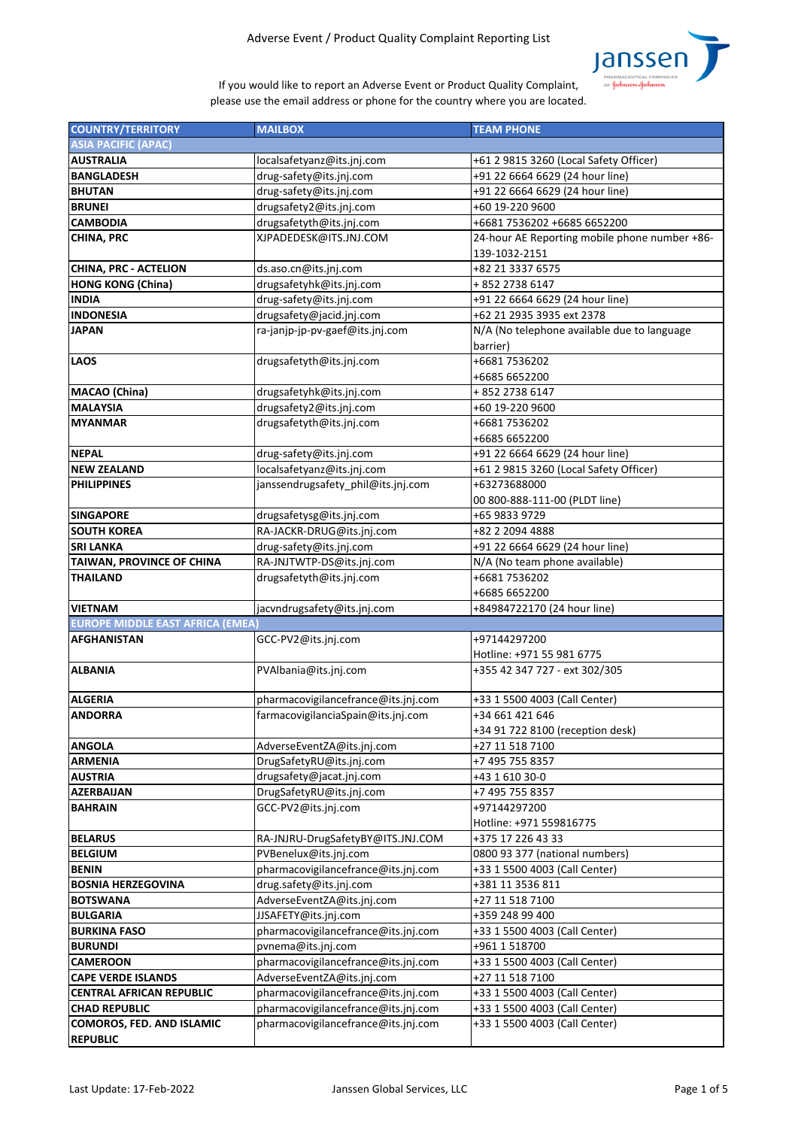

| <b>COUNTRY/TERRITORY</b>                | <b>MAILBOX</b>                      | <b>TEAM PHONE</b>                             |
|-----------------------------------------|-------------------------------------|-----------------------------------------------|
| <b>ASIA PACIFIC (APAC)</b>              |                                     |                                               |
| <b>AUSTRALIA</b>                        | localsafetyanz@its.jnj.com          | +61 2 9815 3260 (Local Safety Officer)        |
| <b>BANGLADESH</b>                       | drug-safety@its.jnj.com             | +91 22 6664 6629 (24 hour line)               |
| <b>BHUTAN</b>                           | drug-safety@its.jnj.com             | +91 22 6664 6629 (24 hour line)               |
| <b>BRUNEI</b>                           | drugsafety2@its.jnj.com             | +60 19-220 9600                               |
| <b>CAMBODIA</b>                         | drugsafetyth@its.jnj.com            | +6681 7536202 +6685 6652200                   |
| <b>CHINA, PRC</b>                       | XJPADEDESK@ITS.JNJ.COM              | 24-hour AE Reporting mobile phone number +86- |
|                                         |                                     | 139-1032-2151                                 |
|                                         |                                     |                                               |
| <b>CHINA, PRC - ACTELION</b>            | ds.aso.cn@its.jnj.com               | +82 21 3337 6575                              |
| HONG KONG (China)                       | drugsafetyhk@its.jnj.com            | +852 2738 6147                                |
| <b>INDIA</b>                            | drug-safety@its.jnj.com             | +91 22 6664 6629 (24 hour line)               |
| <b>INDONESIA</b>                        | drugsafety@jacid.jnj.com            | +62 21 2935 3935 ext 2378                     |
| <b>JAPAN</b>                            | ra-janjp-jp-pv-gaef@its.jnj.com     | N/A (No telephone available due to language   |
|                                         |                                     | barrier)                                      |
| <b>LAOS</b>                             | drugsafetyth@its.jnj.com            | +6681 7536202                                 |
|                                         |                                     | +6685 6652200                                 |
| MACAO (China)                           | drugsafetyhk@its.jnj.com            | +852 2738 6147                                |
| <b>MALAYSIA</b>                         | drugsafety2@its.jnj.com             | +60 19-220 9600                               |
| <b>IMYANMAR</b>                         | drugsafetyth@its.jnj.com            | +6681 7536202                                 |
|                                         |                                     | +6685 6652200                                 |
| NEPAL                                   | drug-safety@its.jnj.com             | +91 22 6664 6629 (24 hour line)               |
| <b>NEW ZEALAND</b>                      | localsafetyanz@its.jnj.com          | +61 2 9815 3260 (Local Safety Officer)        |
| <b>PHILIPPINES</b>                      | janssendrugsafety_phil@its.jnj.com  | +63273688000                                  |
|                                         |                                     | 00 800-888-111-00 (PLDT line)                 |
| <b>SINGAPORE</b>                        | drugsafetysg@its.jnj.com            | +65 9833 9729                                 |
| <b>SOUTH KOREA</b>                      | RA-JACKR-DRUG@its.jnj.com           | +82 2 2094 4888                               |
| <b>SRI LANKA</b>                        | drug-safety@its.jnj.com             | +91 22 6664 6629 (24 hour line)               |
| TAIWAN, PROVINCE OF CHINA               | RA-JNJTWTP-DS@its.jnj.com           | N/A (No team phone available)                 |
| <b>THAILAND</b>                         | drugsafetyth@its.jnj.com            | +6681 7536202                                 |
|                                         |                                     | +6685 6652200                                 |
| VIETNAM                                 | jacvndrugsafety@its.jnj.com         | +84984722170 (24 hour line)                   |
| <b>EUROPE MIDDLE EAST AFRICA (EMEA)</b> |                                     |                                               |
| <b>AFGHANISTAN</b>                      | GCC-PV2@its.jnj.com                 | +97144297200                                  |
|                                         |                                     | Hotline: +971 55 981 6775                     |
| <b>ALBANIA</b>                          | PVAlbania@its.jnj.com               | +355 42 347 727 - ext 302/305                 |
|                                         |                                     |                                               |
| <b>ALGERIA</b>                          | pharmacovigilancefrance@its.jnj.com | +33 1 5500 4003 (Call Center)                 |
| <b>ANDORRA</b>                          | farmacovigilanciaSpain@its.jnj.com  | +34 661 421 646                               |
|                                         |                                     | +34 91 722 8100 (reception desk)              |
| <b>ANGOLA</b>                           | AdverseEventZA@its.jnj.com          | +27 11 518 7100                               |
| <b>ARMENIA</b>                          | DrugSafetyRU@its.jnj.com            | +7 495 755 8357                               |
| <b>AUSTRIA</b>                          | drugsafety@jacat.jnj.com            | +43 1 610 30-0                                |
| <b>AZERBAIJAN</b>                       | DrugSafetyRU@its.jnj.com            | +7 495 755 8357                               |
| <b>BAHRAIN</b>                          | GCC-PV2@its.jnj.com                 | +97144297200                                  |
|                                         |                                     | Hotline: +971 559816775                       |
| <b>BELARUS</b>                          | RA-JNJRU-DrugSafetyBY@ITS.JNJ.COM   | +375 17 226 43 33                             |
| <b>BELGIUM</b>                          | PVBenelux@its.jnj.com               | 0800 93 377 (national numbers)                |
| BENIN                                   | pharmacovigilancefrance@its.jnj.com | +33 1 5500 4003 (Call Center)                 |
| <b>BOSNIA HERZEGOVINA</b>               | drug.safety@its.jnj.com             | +381 11 3536 811                              |
| <b>BOTSWANA</b>                         | AdverseEventZA@its.jnj.com          | +27 11 518 7100                               |
| <b>BULGARIA</b>                         | JJSAFETY@its.jnj.com                | +359 248 99 400                               |
| <b>BURKINA FASO</b>                     | pharmacovigilancefrance@its.jnj.com | +33 1 5500 4003 (Call Center)                 |
| <b>BURUNDI</b>                          | pvnema@its.jnj.com                  | +961 1 518700                                 |
| <b>CAMEROON</b>                         | pharmacovigilancefrance@its.jnj.com | +33 1 5500 4003 (Call Center)                 |
| <b>CAPE VERDE ISLANDS</b>               |                                     | +27 11 518 7100                               |
| CENTRAL AFRICAN REPUBLIC                | AdverseEventZA@its.jnj.com          |                                               |
|                                         | pharmacovigilancefrance@its.jnj.com | +33 1 5500 4003 (Call Center)                 |
| <b>CHAD REPUBLIC</b>                    | pharmacovigilancefrance@its.jnj.com | +33 1 5500 4003 (Call Center)                 |
| <b>COMOROS, FED. AND ISLAMIC</b>        | pharmacovigilancefrance@its.jnj.com | +33 1 5500 4003 (Call Center)                 |
| <b>REPUBLIC</b>                         |                                     |                                               |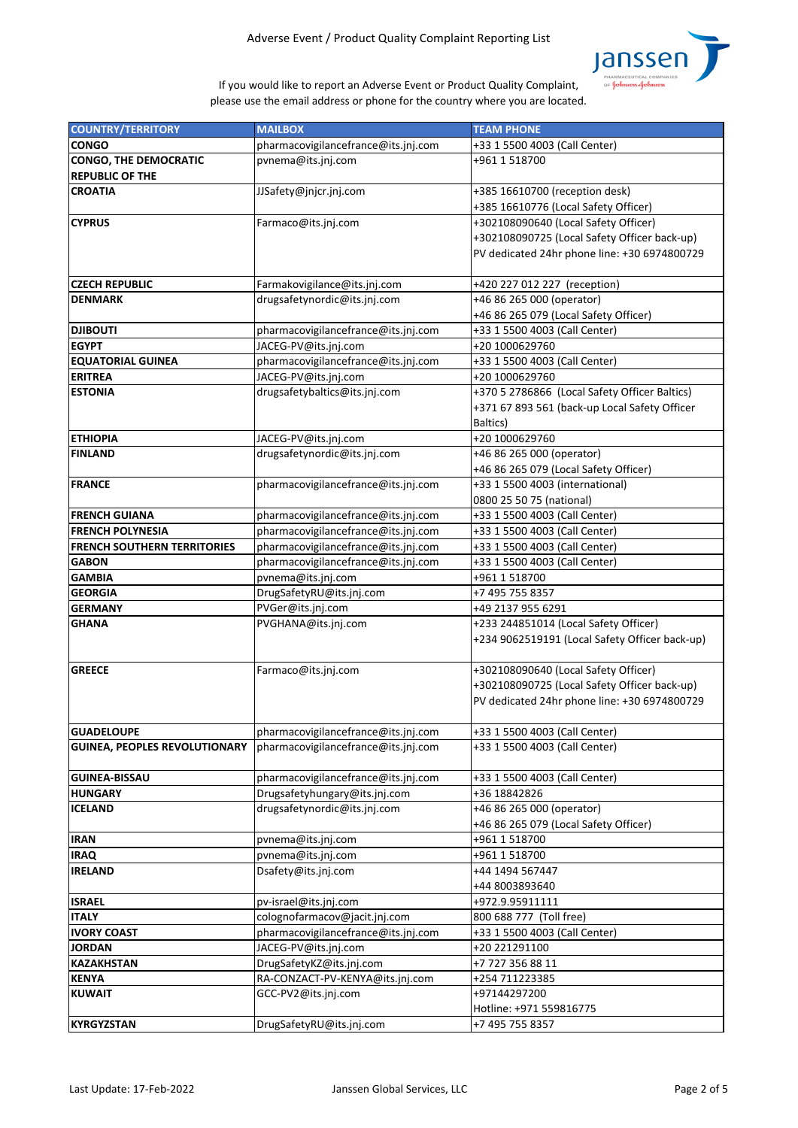

| <b>COUNTRY/TERRITORY</b>             | <b>MAILBOX</b>                      | <b>TEAM PHONE</b>                              |
|--------------------------------------|-------------------------------------|------------------------------------------------|
| <b>CONGO</b>                         | pharmacovigilancefrance@its.jnj.com | +33 1 5500 4003 (Call Center)                  |
| <b>CONGO, THE DEMOCRATIC</b>         | pvnema@its.jnj.com                  | +961 1 518700                                  |
| <b>REPUBLIC OF THE</b>               |                                     |                                                |
| <b>CROATIA</b>                       | JJSafety@jnjcr.jnj.com              | +385 16610700 (reception desk)                 |
|                                      |                                     | +385 16610776 (Local Safety Officer)           |
| <b>CYPRUS</b>                        | Farmaco@its.jnj.com                 | +302108090640 (Local Safety Officer)           |
|                                      |                                     | +302108090725 (Local Safety Officer back-up)   |
|                                      |                                     | PV dedicated 24hr phone line: +30 6974800729   |
|                                      |                                     |                                                |
| <b>CZECH REPUBLIC</b>                | Farmakovigilance@its.jnj.com        | +420 227 012 227 (reception)                   |
| <b>DENMARK</b>                       | drugsafetynordic@its.jnj.com        | +46 86 265 000 (operator)                      |
|                                      |                                     | +46 86 265 079 (Local Safety Officer)          |
| <b>DJIBOUTI</b>                      | pharmacovigilancefrance@its.jnj.com | +33 1 5500 4003 (Call Center)                  |
| <b>EGYPT</b>                         | JACEG-PV@its.jnj.com                | +20 1000629760                                 |
| <b>EQUATORIAL GUINEA</b>             | pharmacovigilancefrance@its.jnj.com | +33 1 5500 4003 (Call Center)                  |
| <b>ERITREA</b>                       | JACEG-PV@its.jnj.com                | +20 1000629760                                 |
| <b>ESTONIA</b>                       | drugsafetybaltics@its.jnj.com       | +370 5 2786866 (Local Safety Officer Baltics)  |
|                                      |                                     | +371 67 893 561 (back-up Local Safety Officer  |
|                                      |                                     | <b>Baltics</b> )                               |
| <b>ETHIOPIA</b>                      | JACEG-PV@its.jnj.com                | +20 1000629760                                 |
| <b>FINLAND</b>                       | drugsafetynordic@its.jnj.com        | +46 86 265 000 (operator)                      |
|                                      |                                     | +46 86 265 079 (Local Safety Officer)          |
| <b>FRANCE</b>                        | pharmacovigilancefrance@its.jnj.com | +33 1 5500 4003 (international)                |
|                                      |                                     | 0800 25 50 75 (national)                       |
| <b>FRENCH GUIANA</b>                 | pharmacovigilancefrance@its.jnj.com | +33 1 5500 4003 (Call Center)                  |
| <b>FRENCH POLYNESIA</b>              | pharmacovigilancefrance@its.jnj.com | +33 1 5500 4003 (Call Center)                  |
| <b>FRENCH SOUTHERN TERRITORIES</b>   | pharmacovigilancefrance@its.jnj.com | +33 1 5500 4003 (Call Center)                  |
| <b>GABON</b>                         | pharmacovigilancefrance@its.jnj.com | +33 1 5500 4003 (Call Center)                  |
| <b>GAMBIA</b>                        | pvnema@its.jnj.com                  | +961 1 518700                                  |
| <b>GEORGIA</b>                       | DrugSafetyRU@its.jnj.com            | +7 495 755 8357                                |
| <b>GERMANY</b>                       | PVGer@its.jnj.com                   | +49 2137 955 6291                              |
| <b>GHANA</b>                         | PVGHANA@its.jnj.com                 | +233 244851014 (Local Safety Officer)          |
|                                      |                                     | +234 9062519191 (Local Safety Officer back-up) |
|                                      |                                     |                                                |
| <b>GREECE</b>                        | Farmaco@its.jnj.com                 | +302108090640 (Local Safety Officer)           |
|                                      |                                     | +302108090725 (Local Safety Officer back-up)   |
|                                      |                                     | PV dedicated 24hr phone line: +30 6974800729   |
|                                      |                                     |                                                |
| <b>GUADELOUPE</b>                    | pharmacovigilancefrance@its.jnj.com | +33 1 5500 4003 (Call Center)                  |
| <b>GUINEA, PEOPLES REVOLUTIONARY</b> | pharmacovigilancefrance@its.jnj.com | +33 1 5500 4003 (Call Center)                  |
|                                      |                                     |                                                |
| <b>GUINEA-BISSAU</b>                 | pharmacovigilancefrance@its.jnj.com | +33 1 5500 4003 (Call Center)                  |
| <b>HUNGARY</b>                       | Drugsafetyhungary@its.jnj.com       | +36 18842826                                   |
| <b>ICELAND</b>                       | drugsafetynordic@its.jnj.com        | +46 86 265 000 (operator)                      |
|                                      |                                     | +46 86 265 079 (Local Safety Officer)          |
| <b>IRAN</b>                          | pvnema@its.jnj.com                  | +961 1 518700                                  |
| <b>IRAQ</b>                          | pvnema@its.jnj.com                  | +961 1 518700                                  |
| <b>IRELAND</b>                       | Dsafety@its.jnj.com                 | +44 1494 567447                                |
|                                      |                                     | +44 8003893640                                 |
| <b>ISRAEL</b>                        | pv-israel@its.jnj.com               | +972.9.95911111                                |
| <b>ITALY</b>                         | colognofarmacov@jacit.jnj.com       | 800 688 777 (Toll free)                        |
| <b>IVORY COAST</b>                   | pharmacovigilancefrance@its.jnj.com | +33 1 5500 4003 (Call Center)                  |
| <b>JORDAN</b>                        | JACEG-PV@its.jnj.com                | +20 221291100                                  |
| <b>KAZAKHSTAN</b>                    | DrugSafetyKZ@its.jnj.com            | +7 727 356 88 11                               |
| <b>KENYA</b>                         | RA-CONZACT-PV-KENYA@its.jnj.com     | +254 711223385                                 |
| <b>KUWAIT</b>                        | GCC-PV2@its.jnj.com                 | +97144297200                                   |
|                                      |                                     | Hotline: +971 559816775                        |
| KYRGYZSTAN                           | DrugSafetyRU@its.jnj.com            | +7 495 755 8357                                |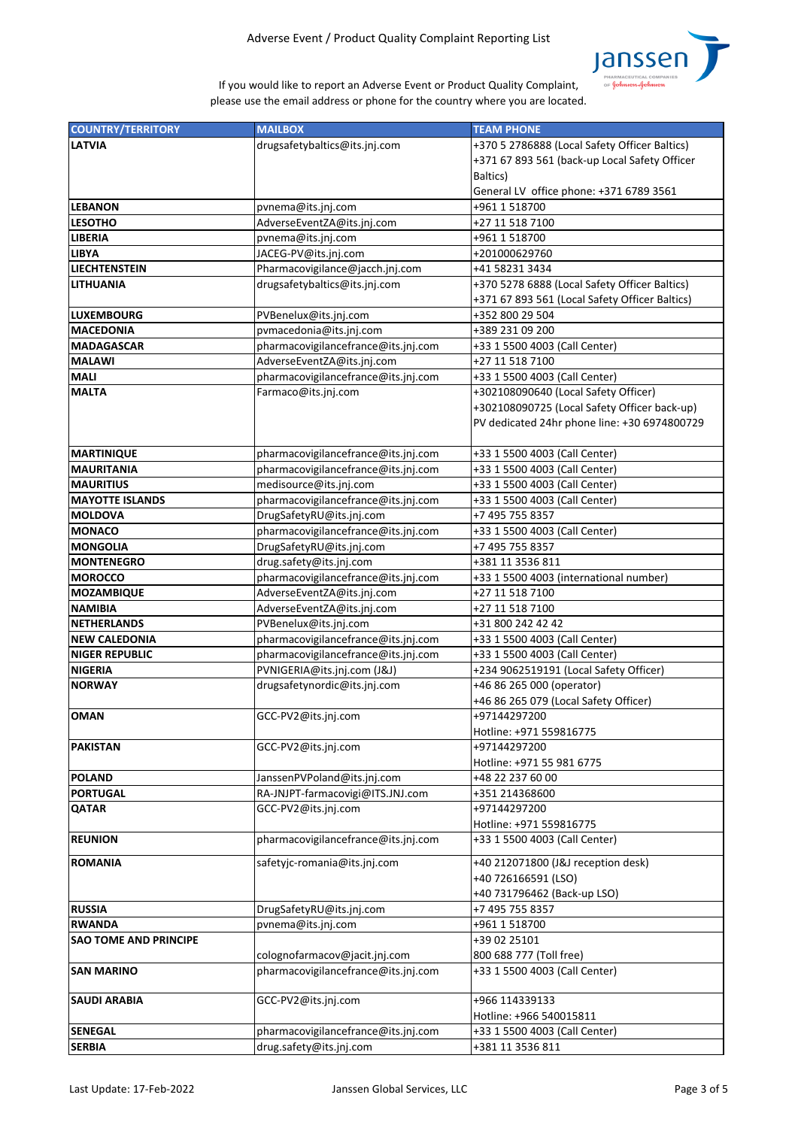

| <b>COUNTRY/TERRITORY</b>     | <b>MAILBOX</b>                      | <b>TEAM PHONE</b>                              |
|------------------------------|-------------------------------------|------------------------------------------------|
| <b>LATVIA</b>                | drugsafetybaltics@its.jnj.com       | +370 5 2786888 (Local Safety Officer Baltics)  |
|                              |                                     | +371 67 893 561 (back-up Local Safety Officer  |
|                              |                                     | Baltics)                                       |
|                              |                                     | General LV office phone: +371 6789 3561        |
| <b>LEBANON</b>               | pvnema@its.jnj.com                  | +961 1 518700                                  |
| <b>LESOTHO</b>               | AdverseEventZA@its.jnj.com          | +27 11 518 7100                                |
| <b>LIBERIA</b>               | pvnema@its.jnj.com                  | +961 1 518700                                  |
| <b>LIBYA</b>                 | JACEG-PV@its.jnj.com                | +201000629760                                  |
| <b>LIECHTENSTEIN</b>         | Pharmacovigilance@jacch.jnj.com     | +41 58231 3434                                 |
| <b>LITHUANIA</b>             | drugsafetybaltics@its.jnj.com       | +370 5278 6888 (Local Safety Officer Baltics)  |
|                              |                                     | +371 67 893 561 (Local Safety Officer Baltics) |
| <b>LUXEMBOURG</b>            | PVBenelux@its.jnj.com               | +352 800 29 504                                |
| <b>MACEDONIA</b>             | pvmacedonia@its.jnj.com             | +389 231 09 200                                |
| <b>MADAGASCAR</b>            | pharmacovigilancefrance@its.jnj.com | +33 1 5500 4003 (Call Center)                  |
| <b>MALAWI</b>                | AdverseEventZA@its.jnj.com          | +27 11 518 7100                                |
| <b>MALI</b>                  | pharmacovigilancefrance@its.jnj.com | +33 1 5500 4003 (Call Center)                  |
| <b>MALTA</b>                 | Farmaco@its.jnj.com                 | +302108090640 (Local Safety Officer)           |
|                              |                                     | +302108090725 (Local Safety Officer back-up)   |
|                              |                                     | PV dedicated 24hr phone line: +30 6974800729   |
|                              |                                     |                                                |
| <b>MARTINIQUE</b>            | pharmacovigilancefrance@its.jnj.com | +33 1 5500 4003 (Call Center)                  |
| <b>MAURITANIA</b>            | pharmacovigilancefrance@its.jnj.com | +33 1 5500 4003 (Call Center)                  |
| <b>MAURITIUS</b>             | medisource@its.jnj.com              | +33 1 5500 4003 (Call Center)                  |
| <b>MAYOTTE ISLANDS</b>       | pharmacovigilancefrance@its.jnj.com | +33 1 5500 4003 (Call Center)                  |
| <b>MOLDOVA</b>               | DrugSafetyRU@its.jnj.com            | +7 495 755 8357                                |
| <b>MONACO</b>                | pharmacovigilancefrance@its.jnj.com | +33 1 5500 4003 (Call Center)                  |
| <b>MONGOLIA</b>              | DrugSafetyRU@its.jnj.com            | +7 495 755 8357                                |
| <b>MONTENEGRO</b>            | drug.safety@its.jnj.com             | +381 11 3536 811                               |
| <b>MOROCCO</b>               | pharmacovigilancefrance@its.jnj.com | +33 1 5500 4003 (international number)         |
| <b>MOZAMBIQUE</b>            | AdverseEventZA@its.jnj.com          | +27 11 518 7100                                |
| <b>NAMIBIA</b>               | AdverseEventZA@its.jnj.com          | +27 11 518 7100                                |
| <b>NETHERLANDS</b>           | PVBenelux@its.jnj.com               | +31 800 242 42 42                              |
| <b>NEW CALEDONIA</b>         | pharmacovigilancefrance@its.jnj.com | +33 1 5500 4003 (Call Center)                  |
| <b>NIGER REPUBLIC</b>        | pharmacovigilancefrance@its.jnj.com | +33 1 5500 4003 (Call Center)                  |
| <b>NIGERIA</b>               | PVNIGERIA@its.jnj.com (J&J)         | +234 9062519191 (Local Safety Officer)         |
| <b>NORWAY</b>                | drugsafetynordic@its.jnj.com        | +46 86 265 000 (operator)                      |
|                              |                                     | +46 86 265 079 (Local Safety Officer)          |
| <b>OMAN</b>                  | GCC-PV2@its.jnj.com                 | +97144297200                                   |
|                              |                                     | Hotline: +971 559816775                        |
| <b>PAKISTAN</b>              | GCC-PV2@its.jnj.com                 | +97144297200                                   |
|                              |                                     | Hotline: +971 55 981 6775                      |
| <b>POLAND</b>                | JanssenPVPoland@its.jnj.com         | +48 22 237 60 00                               |
| <b>PORTUGAL</b>              | RA-JNJPT-farmacovigi@ITS.JNJ.com    | +351 214368600                                 |
| <b>QATAR</b>                 | GCC-PV2@its.jnj.com                 | +97144297200                                   |
|                              |                                     | Hotline: +971 559816775                        |
| <b>REUNION</b>               | pharmacovigilancefrance@its.jnj.com | +33 1 5500 4003 (Call Center)                  |
| <b>ROMANIA</b>               | safetyjc-romania@its.jnj.com        | +40 212071800 (J&J reception desk)             |
|                              |                                     | +40 726166591 (LSO)                            |
|                              |                                     | +40 731796462 (Back-up LSO)                    |
| <b>RUSSIA</b>                | DrugSafetyRU@its.jnj.com            | +7 495 755 8357                                |
| <b>RWANDA</b>                | pvnema@its.jnj.com                  | +961 1 518700                                  |
| <b>SAO TOME AND PRINCIPE</b> |                                     | +39 02 25101                                   |
|                              | colognofarmacov@jacit.jnj.com       | 800 688 777 (Toll free)                        |
| <b>SAN MARINO</b>            | pharmacovigilancefrance@its.jnj.com | +33 1 5500 4003 (Call Center)                  |
|                              |                                     |                                                |
| <b>SAUDI ARABIA</b>          | GCC-PV2@its.jnj.com                 | +966 114339133                                 |
|                              |                                     | Hotline: +966 540015811                        |
| <b>SENEGAL</b>               | pharmacovigilancefrance@its.jnj.com | +33 1 5500 4003 (Call Center)                  |
| <b>SERBIA</b>                | drug.safety@its.jnj.com             | +381 11 3536 811                               |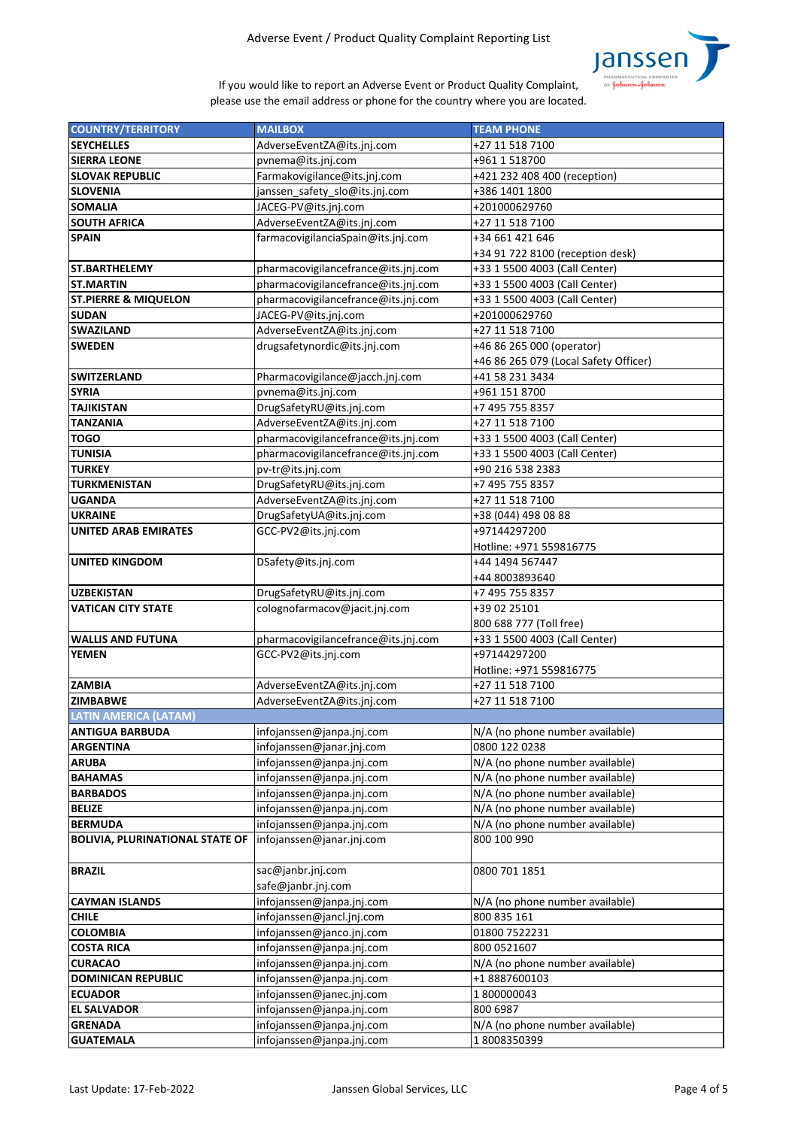

| <b>COUNTRY/TERRITORY</b>               | <b>MAILBOX</b>                      | <b>TEAM PHONE</b>                     |
|----------------------------------------|-------------------------------------|---------------------------------------|
| <b>SEYCHELLES</b>                      | AdverseEventZA@its.jnj.com          | +27 11 518 7100                       |
| <b>SIERRA LEONE</b>                    | pvnema@its.jnj.com                  | +961 1 518700                         |
| <b>SLOVAK REPUBLIC</b>                 | Farmakovigilance@its.jnj.com        | +421 232 408 400 (reception)          |
| <b>SLOVENIA</b>                        | janssen_safety_slo@its.jnj.com      | +386 1401 1800                        |
| <b>SOMALIA</b>                         | JACEG-PV@its.jnj.com                | +201000629760                         |
| <b>SOUTH AFRICA</b>                    | AdverseEventZA@its.jnj.com          | +27 11 518 7100                       |
| <b>SPAIN</b>                           | farmacovigilanciaSpain@its.jnj.com  | +34 661 421 646                       |
|                                        |                                     | +34 91 722 8100 (reception desk)      |
| <b>ST.BARTHELEMY</b>                   | pharmacovigilancefrance@its.jnj.com | +33 1 5500 4003 (Call Center)         |
| <b>ST.MARTIN</b>                       | pharmacovigilancefrance@its.jnj.com | +33 1 5500 4003 (Call Center)         |
| <b>ST.PIERRE &amp; MIQUELON</b>        | pharmacovigilancefrance@its.jnj.com | +33 1 5500 4003 (Call Center)         |
| <b>SUDAN</b>                           | JACEG-PV@its.jnj.com                | +201000629760                         |
| <b>SWAZILAND</b>                       | AdverseEventZA@its.jnj.com          | +27 11 518 7100                       |
| <b>SWEDEN</b>                          | drugsafetynordic@its.jnj.com        | +46 86 265 000 (operator)             |
|                                        |                                     | +46 86 265 079 (Local Safety Officer) |
| <b>SWITZERLAND</b>                     |                                     | +41 58 231 3434                       |
|                                        | Pharmacovigilance@jacch.jnj.com     |                                       |
| <b>SYRIA</b>                           | pvnema@its.jnj.com                  | +961 151 8700                         |
| <b>TAJIKISTAN</b>                      | DrugSafetyRU@its.jnj.com            | +7 495 755 8357                       |
| <b>TANZANIA</b>                        | AdverseEventZA@its.jnj.com          | +27 11 518 7100                       |
| <b>TOGO</b>                            | pharmacovigilancefrance@its.jnj.com | +33 1 5500 4003 (Call Center)         |
| <b>TUNISIA</b>                         | pharmacovigilancefrance@its.jnj.com | +33 1 5500 4003 (Call Center)         |
| <b>TURKEY</b>                          | pv-tr@its.jnj.com                   | +90 216 538 2383                      |
| <b>TURKMENISTAN</b>                    | DrugSafetyRU@its.jnj.com            | +7 495 755 8357                       |
| <b>UGANDA</b>                          | AdverseEventZA@its.jnj.com          | +27 11 518 7100                       |
| <b>UKRAINE</b>                         | DrugSafetyUA@its.jnj.com            | +38 (044) 498 08 88                   |
| <b>UNITED ARAB EMIRATES</b>            | GCC-PV2@its.jnj.com                 | +97144297200                          |
|                                        |                                     | Hotline: +971 559816775               |
| <b>UNITED KINGDOM</b>                  | DSafety@its.jnj.com                 | +44 1494 567447                       |
|                                        |                                     | +44 8003893640                        |
| <b>UZBEKISTAN</b>                      | DrugSafetyRU@its.jnj.com            | +7 495 755 8357                       |
| IVATICAN CITY STATE                    | colognofarmacov@jacit.jnj.com       | +39 02 25101                          |
|                                        |                                     | 800 688 777 (Toll free)               |
| <b>WALLIS AND FUTUNA</b>               | pharmacovigilancefrance@its.jnj.com | +33 1 5500 4003 (Call Center)         |
| <b>YEMEN</b>                           | GCC-PV2@its.jnj.com                 | +97144297200                          |
|                                        |                                     | Hotline: +971 559816775               |
| <b>ZAMBIA</b>                          | AdverseEventZA@its.jnj.com          | +27 11 518 7100                       |
| <b>ZIMBABWE</b>                        | AdverseEventZA@its.jnj.com          | +27 11 518 7100                       |
| <b>LATIN AMERICA (LATAM)</b>           |                                     |                                       |
| <b>ANTIGUA BARBUDA</b>                 | infojanssen@janpa.jnj.com           | N/A (no phone number available)       |
| <b>ARGENTINA</b>                       | infojanssen@janar.jnj.com           | 0800 122 0238                         |
| <b>ARUBA</b>                           | infojanssen@janpa.jnj.com           | N/A (no phone number available)       |
| <b>BAHAMAS</b>                         | infojanssen@janpa.jnj.com           | N/A (no phone number available)       |
| <b>BARBADOS</b>                        | infojanssen@janpa.jnj.com           | N/A (no phone number available)       |
| <b>BELIZE</b>                          | infojanssen@janpa.jnj.com           | N/A (no phone number available)       |
| <b>BERMUDA</b>                         | infojanssen@janpa.jnj.com           | N/A (no phone number available)       |
| <b>BOLIVIA, PLURINATIONAL STATE OF</b> | infojanssen@janar.jnj.com           | 800 100 990                           |
|                                        |                                     |                                       |
| <b>BRAZIL</b>                          | sac@janbr.jnj.com                   | 0800 701 1851                         |
|                                        | safe@janbr.jnj.com                  |                                       |
| <b>CAYMAN ISLANDS</b>                  | infojanssen@janpa.jnj.com           | N/A (no phone number available)       |
| <b>CHILE</b>                           | infojanssen@jancl.jnj.com           | 800 835 161                           |
| <b>COLOMBIA</b>                        | infojanssen@janco.jnj.com           | 01800 7522231                         |
| <b>COSTA RICA</b>                      | infojanssen@janpa.jnj.com           | 800 0521607                           |
| <b>CURACAO</b>                         | infojanssen@janpa.jnj.com           | N/A (no phone number available)       |
| <b>DOMINICAN REPUBLIC</b>              | infojanssen@janpa.jnj.com           | +18887600103                          |
| <b>ECUADOR</b>                         | infojanssen@janec.jnj.com           | 1800000043                            |
| <b>EL SALVADOR</b>                     | infojanssen@janpa.jnj.com           | 800 6987                              |
| <b>GRENADA</b>                         |                                     |                                       |
|                                        | infojanssen@janpa.jnj.com           | N/A (no phone number available)       |
| <b>GUATEMALA</b>                       | infojanssen@janpa.jnj.com           | 18008350399                           |